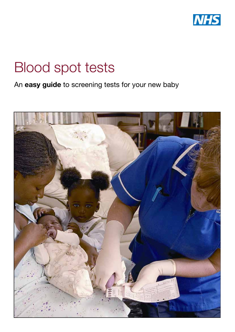

# Blood spot tests

An easy guide to screening tests for your new baby

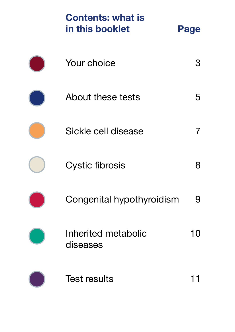| <b>Contents: what is</b><br>in this booklet | Page |
|---------------------------------------------|------|
| Your choice                                 |      |
| <b>About these tests</b>                    | 5    |
| Sickle cell disease                         |      |
| <b>Cystic fibrosis</b>                      | 8    |
| Congenital hypothyroidism                   |      |
| Inherited metabolic<br>diseases             | 10   |
| <b>Test results</b>                         |      |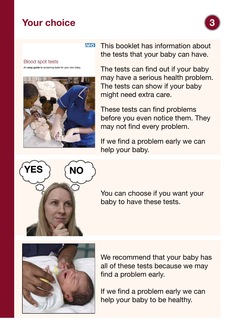#### Your choice



**Blood spot tests** An easy guide to screening tests for your new baby



This booklet has information about **NHS** the tests that your baby can have.

> The tests can find out if your baby may have a serious health problem. The tests can show if your baby might need extra care.

These tests can find problems before you even notice them. They may not find every problem.

If we find a problem early we can help your baby.



You can choose if you want your baby to have these tests.



We recommend that your baby has all of these tests because we may find a problem early.

If we find a problem early we can help your baby to be healthy.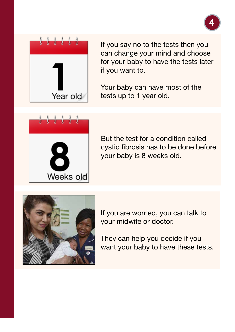



If you say no to the tests then you can change your mind and choose for your baby to have the tests later if you want to.

Your baby can have most of the tests up to 1 year old.



But the test for a condition called cystic fibrosis has to be done before your baby is 8 weeks old.



If you are worried, you can talk to your midwife or doctor.

They can help you decide if you want your baby to have these tests.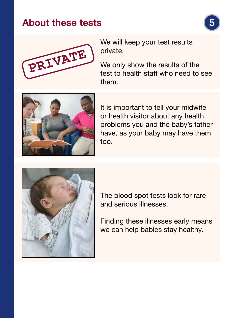### About these tests





We will keep your test results private.

We only show the results of the test to health staff who need to see them.



It is important to tell your midwife or health visitor about any health problems you and the baby's father have, as your baby may have them too.



The blood spot tests look for rare and serious illnesses.

Finding these illnesses early means we can help babies stay healthy.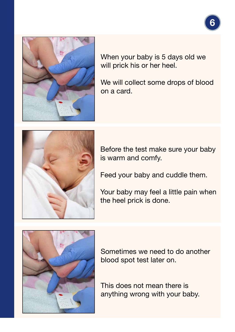

When your baby is 5 days old we will prick his or her heel.

We will collect some drops of blood on a card.



Before the test make sure your baby is warm and comfy.

Feed your baby and cuddle them.

Your baby may feel a little pain when the heel prick is done.



Sometimes we need to do another blood spot test later on.

This does not mean there is anything wrong with your baby.

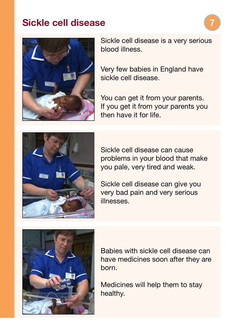#### Sickle cell disease



Sickle cell disease is a very serious blood illness.

Very few babies in England have sickle cell disease.

You can get it from your parents. If you get it from your parents you then have it for life.



Sickle cell disease can cause problems in your blood that make you pale, very tired and weak.

Sickle cell disease can give you very bad pain and very serious illnesses.



Babies with sickle cell disease can have medicines soon after they are born.

Medicines will help them to stay healthy.

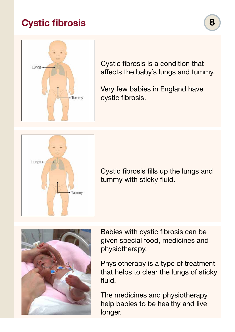# Cystic fibrosis



Cystic fibrosis is a condition that affects the baby's lungs and tummy.

Very few babies in England have cystic fibrosis.



Cystic fibrosis fills up the lungs and tummy with sticky fluid.



Babies with cystic fibrosis can be given special food, medicines and physiotherapy.

Physiotherapy is a type of treatment that helps to clear the lungs of sticky fluid.

The medicines and physiotherapy help babies to be healthy and live longer.

8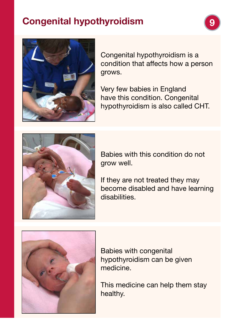# Congenital hypothyroidism



Congenital hypothyroidism is a condition that affects how a person grows.

Very few babies in England have this condition. Congenital hypothyroidism is also called CHT.



Babies with this condition do not grow well.

If they are not treated they may become disabled and have learning disabilities.



Babies with congenital hypothyroidism can be given medicine.

This medicine can help them stay healthy.

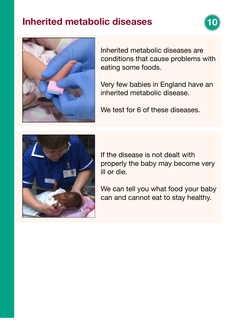### Inherited metabolic diseases





Inherited metabolic diseases are conditions that cause problems with eating some foods.

Very few babies in England have an inherited metabolic disease.

We test for 6 of these diseases.



If the disease is not dealt with properly the baby may become very ill or die.

We can tell you what food your baby can and cannot eat to stay healthy.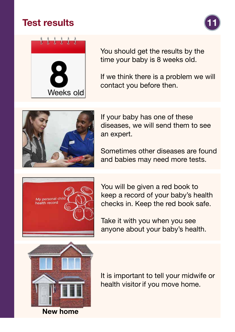### Test results





You should get the results by the time your baby is 8 weeks old.

If we think there is a problem we will contact you before then.



If your baby has one of these diseases, we will send them to see an expert.

Sometimes other diseases are found and babies may need more tests.



You will be given a red book to keep a record of your baby's health checks in. Keep the red book safe.

Take it with you when you see anyone about your baby's health.



New home

It is important to tell your midwife or health visitor if you move home.